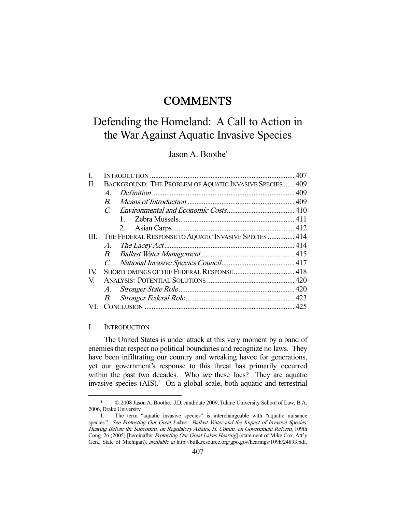## **COMMENTS**

# Defending the Homeland: A Call to Action in the War Against Aquatic Invasive Species

### Jason A. Boothe\*

| П.  | BACKGROUND: THE PROBLEM OF AQUATIC INVASIVE SPECIES  409 |                                                       |  |
|-----|----------------------------------------------------------|-------------------------------------------------------|--|
|     | $\mathcal{A}$                                            |                                                       |  |
|     | $\boldsymbol{B}$                                         |                                                       |  |
|     | $\mathcal{C}$                                            |                                                       |  |
|     |                                                          | $1 \quad$                                             |  |
|     |                                                          | 2.                                                    |  |
| Ш.  |                                                          | THE FEDERAL RESPONSE TO AQUATIC INVASIVE SPECIES  414 |  |
|     | A.                                                       |                                                       |  |
|     |                                                          |                                                       |  |
|     | $C_{\cdot}$                                              |                                                       |  |
| IV. |                                                          |                                                       |  |
| V   |                                                          |                                                       |  |
|     |                                                          |                                                       |  |
|     | B.                                                       |                                                       |  |
| VL. |                                                          |                                                       |  |

#### I. INTRODUCTION

-

 The United States is under attack at this very moment by a band of enemies that respect no political boundaries and recognize no laws. They have been infiltrating our country and wreaking havoc for generations, yet our government's response to this threat has primarily occurred within the past two decades. Who *are* these foes? They are aquatic invasive species  $(AIS)^{1}$  On a global scale, both aquatic and terrestrial

 <sup>\* © 2008</sup> Jason A. Boothe. J.D. candidate 2009, Tulane University School of Law; B.A. 2006, Drake University.

 <sup>1.</sup> The term "aquatic invasive species" is interchangeable with "aquatic nuisance species." See Protecting Our Great Lakes: Ballast Water and the Impact of Invasive Species: Hearing Before the Subcomm. on Regulatory Affairs, H. Comm. on Government Reform, 109th Cong. 26 (2005) [hereinafter Protecting Our Great Lakes Hearing] (statement of Mike Cox, Att'y Gen., State of Michigan), available at http://bulk.resource.org/gpo.gov/hearings/109h/24893.pdf.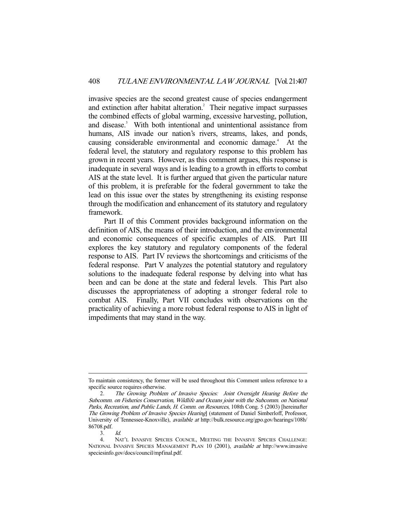invasive species are the second greatest cause of species endangerment and extinction after habitat alteration.<sup>2</sup> Their negative impact surpasses the combined effects of global warming, excessive harvesting, pollution, and disease.<sup>3</sup> With both intentional and unintentional assistance from humans, AIS invade our nation's rivers, streams, lakes, and ponds, causing considerable environmental and economic damage.<sup>4</sup> At the federal level, the statutory and regulatory response to this problem has grown in recent years. However, as this comment argues, this response is inadequate in several ways and is leading to a growth in efforts to combat AIS at the state level. It is further argued that given the particular nature of this problem, it is preferable for the federal government to take the lead on this issue over the states by strengthening its existing response through the modification and enhancement of its statutory and regulatory framework.

 Part II of this Comment provides background information on the definition of AIS, the means of their introduction, and the environmental and economic consequences of specific examples of AIS. Part III explores the key statutory and regulatory components of the federal response to AIS. Part IV reviews the shortcomings and criticisms of the federal response. Part V analyzes the potential statutory and regulatory solutions to the inadequate federal response by delving into what has been and can be done at the state and federal levels. This Part also discusses the appropriateness of adopting a stronger federal role to combat AIS. Finally, Part VII concludes with observations on the practicality of achieving a more robust federal response to AIS in light of impediments that may stand in the way.

To maintain consistency, the former will be used throughout this Comment unless reference to a specific source requires otherwise.

 <sup>2.</sup> The Growing Problem of Invasive Species: Joint Oversight Hearing Before the Subcomm. on Fisheries Conservation, Wildlife and Oceans joint with the Subcomm. on National Parks, Recreation, and Public Lands, H. Comm. on Resources, 108th Cong. 5 (2003) [hereinafter The Growing Problem of Invasive Species Hearing] (statement of Daniel Simberloff, Professor, University of Tennessee-Knoxville), available at http://bulk.resource.org/gpo.gov/hearings/108h/ 86708.pdf.

 <sup>3.</sup> Id.

 <sup>4.</sup> NAT'L INVASIVE SPECIES COUNCIL, MEETING THE INVASIVE SPECIES CHALLENGE: NATIONAL INVASIVE SPECIES MANAGEMENT PLAN 10 (2001), available at http://www.invasive speciesinfo.gov/docs/council/mpfinal.pdf.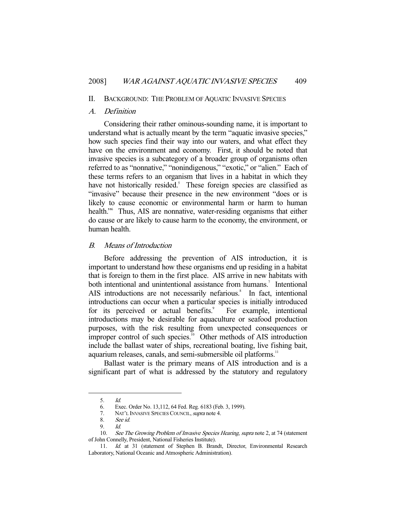#### II. BACKGROUND: THE PROBLEM OF AQUATIC INVASIVE SPECIES

#### A. Definition

 Considering their rather ominous-sounding name, it is important to understand what is actually meant by the term "aquatic invasive species," how such species find their way into our waters, and what effect they have on the environment and economy. First, it should be noted that invasive species is a subcategory of a broader group of organisms often referred to as "nonnative," "nonindigenous," "exotic," or "alien." Each of these terms refers to an organism that lives in a habitat in which they have not historically resided.<sup>5</sup> These foreign species are classified as "invasive" because their presence in the new environment "does or is likely to cause economic or environmental harm or harm to human health."6 Thus, AIS are nonnative, water-residing organisms that either do cause or are likely to cause harm to the economy, the environment, or human health.

#### B. Means of Introduction

 Before addressing the prevention of AIS introduction, it is important to understand how these organisms end up residing in a habitat that is foreign to them in the first place. AIS arrive in new habitats with both intentional and unintentional assistance from humans.<sup>7</sup> Intentional AIS introductions are not necessarily nefarious.<sup>8</sup> In fact, intentional introductions can occur when a particular species is initially introduced for its perceived or actual benefits.<sup>9</sup> For example, intentional introductions may be desirable for aquaculture or seafood production purposes, with the risk resulting from unexpected consequences or improper control of such species.<sup>10</sup> Other methods of AIS introduction include the ballast water of ships, recreational boating, live fishing bait, aquarium releases, canals, and semi-submersible oil platforms.<sup>11</sup>

 Ballast water is the primary means of AIS introduction and is a significant part of what is addressed by the statutory and regulatory

 <sup>5.</sup> Id.

 <sup>6.</sup> Exec. Order No. 13,112, 64 Fed. Reg. 6183 (Feb. 3, 1999).

<sup>7.</sup> NAT'L INVASIVE SPECIES COUNCIL, supra note 4.

 <sup>8.</sup> See id.

 <sup>9.</sup> Id.

<sup>10.</sup> See The Growing Problem of Invasive Species Hearing, supra note 2, at 74 (statement of John Connelly, President, National Fisheries Institute).

<sup>11.</sup> Id. at 31 (statement of Stephen B. Brandt, Director, Environmental Research Laboratory, National Oceanic and Atmospheric Administration).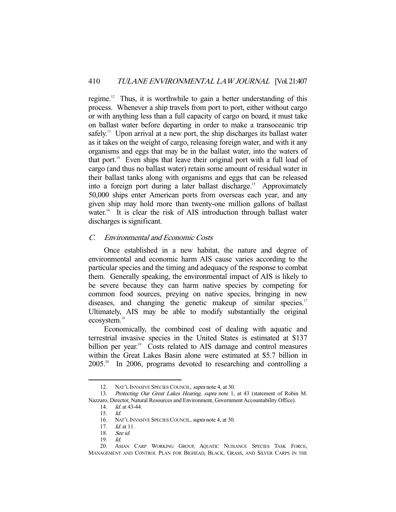regime.<sup>12</sup> Thus, it is worthwhile to gain a better understanding of this process. Whenever a ship travels from port to port, either without cargo or with anything less than a full capacity of cargo on board, it must take on ballast water before departing in order to make a transoceanic trip safely.<sup>13</sup> Upon arrival at a new port, the ship discharges its ballast water as it takes on the weight of cargo, releasing foreign water, and with it any organisms and eggs that may be in the ballast water, into the waters of that port. $14$  Even ships that leave their original port with a full load of cargo (and thus no ballast water) retain some amount of residual water in their ballast tanks along with organisms and eggs that can be released into a foreign port during a later ballast discharge.<sup>15</sup> Approximately 50,000 ships enter American ports from overseas each year, and any given ship may hold more than twenty-one million gallons of ballast water.<sup>16</sup> It is clear the risk of AIS introduction through ballast water discharges is significant.

#### C. Environmental and Economic Costs

 Once established in a new habitat, the nature and degree of environmental and economic harm AIS cause varies according to the particular species and the timing and adequacy of the response to combat them. Generally speaking, the environmental impact of AIS is likely to be severe because they can harm native species by competing for common food sources, preying on native species, bringing in new diseases, and changing the genetic makeup of similar species.<sup>17</sup> Ultimately, AIS may be able to modify substantially the original ecosystem.<sup>18</sup>

 Economically, the combined cost of dealing with aquatic and terrestrial invasive species in the United States is estimated at \$137 billion per year.<sup>19</sup> Costs related to AIS damage and control measures within the Great Lakes Basin alone were estimated at \$5.7 billion in 2005.20 In 2006, programs devoted to researching and controlling a

<sup>12.</sup> NAT'L INVASIVE SPECIES COUNCIL, *supra* note 4, at 30.

<sup>13.</sup> Protecting Our Great Lakes Hearing, supra note 1, at 43 (statement of Robin M. Nazzaro, Director, Natural Resources and Environment, Government Accountability Office).

 <sup>14.</sup> Id. at 43-44.

 <sup>15.</sup> Id.

<sup>16.</sup> NAT'L INVASIVE SPECIES COUNCIL, *supra* note 4, at 30.<br>17. Id. at 11.

 $Id.$  at 11.

 <sup>18.</sup> See id.

 <sup>19.</sup> Id.

 <sup>20.</sup> ASIAN CARP WORKING GROUP, AQUATIC NUISANCE SPECIES TASK FORCE, MANAGEMENT AND CONTROL PLAN FOR BIGHEAD, BLACK, GRASS, AND SILVER CARPS IN THE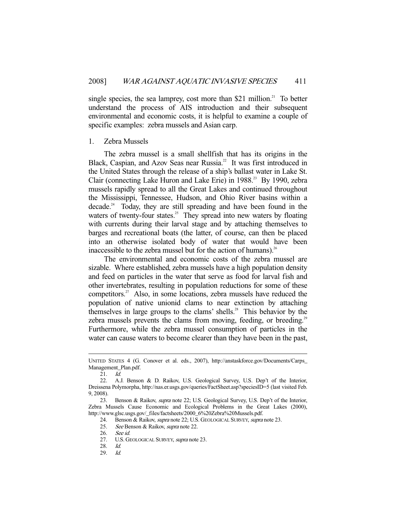single species, the sea lamprey, cost more than  $$21$  million.<sup>21</sup> To better understand the process of AIS introduction and their subsequent environmental and economic costs, it is helpful to examine a couple of specific examples: zebra mussels and Asian carp.

#### 1. Zebra Mussels

 The zebra mussel is a small shellfish that has its origins in the Black, Caspian, and Azov Seas near Russia.<sup>22</sup> It was first introduced in the United States through the release of a ship's ballast water in Lake St. Clair (connecting Lake Huron and Lake Erie) in 1988.<sup>23</sup> By 1990, zebra mussels rapidly spread to all the Great Lakes and continued throughout the Mississippi, Tennessee, Hudson, and Ohio River basins within a decade.<sup>24</sup> Today, they are still spreading and have been found in the waters of twenty-four states.<sup>25</sup> They spread into new waters by floating with currents during their larval stage and by attaching themselves to barges and recreational boats (the latter, of course, can then be placed into an otherwise isolated body of water that would have been inaccessible to the zebra mussel but for the action of humans).<sup>26</sup>

 The environmental and economic costs of the zebra mussel are sizable. Where established, zebra mussels have a high population density and feed on particles in the water that serve as food for larval fish and other invertebrates, resulting in population reductions for some of these competitors.<sup>27</sup> Also, in some locations, zebra mussels have reduced the population of native unionid clams to near extinction by attaching themselves in large groups to the clams' shells.<sup>28</sup> This behavior by the zebra mussels prevents the clams from moving, feeding, or breeding.<sup>29</sup> Furthermore, while the zebra mussel consumption of particles in the water can cause waters to become clearer than they have been in the past,

-

24. Benson & Raikov, supra note 22; U.S. GEOLOGICAL SURVEY, supra note 23.

UNITED STATES 4 (G. Conover et al. eds., 2007), http://anstaskforce.gov/Documents/Carps\_ Management\_Plan.pdf.

 <sup>21.</sup> Id.

 <sup>22.</sup> A.J. Benson & D. Raikov, U.S. Geological Survey, U.S. Dep't of the Interior, Dreissena Polymorpha, http://nas.er.usgs.gov/queries/FactSheet.asp?speciesID=5 (last visited Feb. 9, 2008).

<sup>23.</sup> Benson & Raikov, *supra* note 22; U.S. Geological Survey, U.S. Dep't of the Interior, Zebra Mussels Cause Economic and Ecological Problems in the Great Lakes (2000), http://www.glsc.usgs.gov/\_files/factsheets/2000\_6%20Zebra%20Mussels.pdf.

<sup>25.</sup> See Benson & Raikov, supra note 22.

 <sup>26.</sup> See id.

 <sup>27.</sup> U.S. GEOLOGICAL SURVEY, supra note 23.

<sup>28.</sup>  $Id.$ <br>29.  $Id.$ 

 <sup>29.</sup> Id.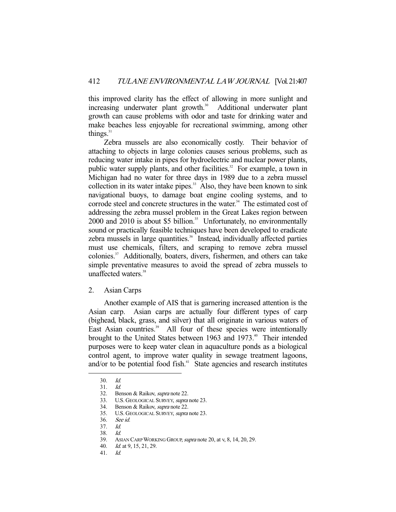this improved clarity has the effect of allowing in more sunlight and increasing underwater plant growth. $30$  Additional underwater plant growth can cause problems with odor and taste for drinking water and make beaches less enjoyable for recreational swimming, among other things. $31$ 

 Zebra mussels are also economically costly. Their behavior of attaching to objects in large colonies causes serious problems, such as reducing water intake in pipes for hydroelectric and nuclear power plants, public water supply plants, and other facilities.<sup>32</sup> For example, a town in Michigan had no water for three days in 1989 due to a zebra mussel collection in its water intake pipes.<sup>33</sup> Also, they have been known to sink navigational buoys, to damage boat engine cooling systems, and to corrode steel and concrete structures in the water.<sup>34</sup> The estimated cost of addressing the zebra mussel problem in the Great Lakes region between  $2000$  and  $2010$  is about \$5 billion.<sup>35</sup> Unfortunately, no environmentally sound or practically feasible techniques have been developed to eradicate zebra mussels in large quantities.<sup>36</sup> Instead, individually affected parties must use chemicals, filters, and scraping to remove zebra mussel colonies.37 Additionally, boaters, divers, fishermen, and others can take simple preventative measures to avoid the spread of zebra mussels to unaffected waters.<sup>38</sup>

2. Asian Carps

 Another example of AIS that is garnering increased attention is the Asian carp. Asian carps are actually four different types of carp (bighead, black, grass, and silver) that all originate in various waters of East Asian countries.<sup>39</sup> All four of these species were intentionally brought to the United States between 1963 and 1973.<sup>40</sup> Their intended purposes were to keep water clean in aquaculture ponds as a biological control agent, to improve water quality in sewage treatment lagoons, and/or to be potential food fish.<sup>41</sup> State agencies and research institutes

 <sup>30.</sup> Id. 31. Id.

<sup>32.</sup> Benson & Raikov, supra note 22.

 <sup>33.</sup> U.S. GEOLOGICAL SURVEY, supra note 23.

<sup>34.</sup> Benson & Raikov, *supra* note 22.

<sup>35.</sup> U.S. GEOLOGICAL SURVEY, *supra* note 23.<br>36. See id.

See id.

 <sup>37.</sup> Id.

 <sup>38.</sup> Id.

<sup>39.</sup> ASIAN CARP WORKING GROUP, *supra* note 20, at v, 8, 14, 20, 29.

 <sup>40.</sup> Id. at 9, 15, 21, 29.

 <sup>41.</sup> Id.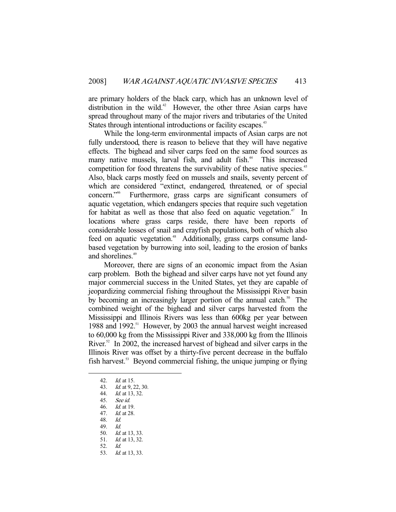are primary holders of the black carp, which has an unknown level of distribution in the wild.<sup>42</sup> However, the other three Asian carps have spread throughout many of the major rivers and tributaries of the United States through intentional introductions or facility escapes.<sup>43</sup>

 While the long-term environmental impacts of Asian carps are not fully understood, there is reason to believe that they will have negative effects. The bighead and silver carps feed on the same food sources as many native mussels, larval fish, and adult fish.<sup>44</sup> This increased competition for food threatens the survivability of these native species.<sup>45</sup> Also, black carps mostly feed on mussels and snails, seventy percent of which are considered "extinct, endangered, threatened, or of special concern."46 Furthermore, grass carps are significant consumers of aquatic vegetation, which endangers species that require such vegetation for habitat as well as those that also feed on aquatic vegetation.<sup>47</sup> In locations where grass carps reside, there have been reports of considerable losses of snail and crayfish populations, both of which also feed on aquatic vegetation.<sup>48</sup> Additionally, grass carps consume landbased vegetation by burrowing into soil, leading to the erosion of banks and shorelines.<sup>49</sup>

 Moreover, there are signs of an economic impact from the Asian carp problem. Both the bighead and silver carps have not yet found any major commercial success in the United States, yet they are capable of jeopardizing commercial fishing throughout the Mississippi River basin by becoming an increasingly larger portion of the annual catch.<sup>50</sup> The combined weight of the bighead and silver carps harvested from the Mississippi and Illinois Rivers was less than 600kg per year between 1988 and 1992.<sup>51</sup> However, by 2003 the annual harvest weight increased to 60,000 kg from the Mississippi River and 338,000 kg from the Illinois River.<sup>52</sup> In 2002, the increased harvest of bighead and silver carps in the Illinois River was offset by a thirty-five percent decrease in the buffalo fish harvest.53 Beyond commercial fishing, the unique jumping or flying

- 48. Id.
- 49. Id.

 <sup>42.</sup> Id. at 15.

 <sup>43.</sup> Id. at 9, 22, 30.

 <sup>44.</sup> Id. at 13, 32.

<sup>45.</sup> *See id.*<br>46. *Id.* at 1

<sup>46.</sup> *Id.* at 19.<br>47. *Id.* at 28. Id. at 28.

 <sup>50.</sup> Id. at 13, 33.

<sup>51.</sup> *Id.* at 13, 32.

 <sup>52.</sup> Id.

 <sup>53.</sup> Id. at 13, 33.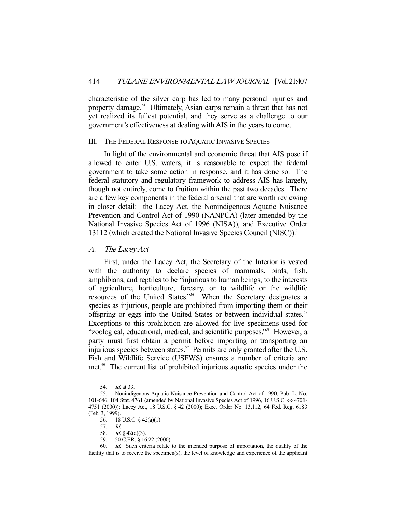characteristic of the silver carp has led to many personal injuries and property damage.<sup>54</sup> Ultimately, Asian carps remain a threat that has not yet realized its fullest potential, and they serve as a challenge to our government's effectiveness at dealing with AIS in the years to come.

#### III. THE FEDERAL RESPONSE TO AQUATIC INVASIVE SPECIES

 In light of the environmental and economic threat that AIS pose if allowed to enter U.S. waters, it is reasonable to expect the federal government to take some action in response, and it has done so. The federal statutory and regulatory framework to address AIS has largely, though not entirely, come to fruition within the past two decades. There are a few key components in the federal arsenal that are worth reviewing in closer detail: the Lacey Act, the Nonindigenous Aquatic Nuisance Prevention and Control Act of 1990 (NANPCA) (later amended by the National Invasive Species Act of 1996 (NISA)), and Executive Order 13112 (which created the National Invasive Species Council (NISC)).<sup>55</sup>

A. The Lacey Act

 First, under the Lacey Act, the Secretary of the Interior is vested with the authority to declare species of mammals, birds, fish, amphibians, and reptiles to be "injurious to human beings, to the interests of agriculture, horticulture, forestry, or to wildlife or the wildlife resources of the United States."56 When the Secretary designates a species as injurious, people are prohibited from importing them or their offspring or eggs into the United States or between individual states.<sup>57</sup> Exceptions to this prohibition are allowed for live specimens used for "zoological, educational, medical, and scientific purposes."58 However, a party must first obtain a permit before importing or transporting an injurious species between states.<sup>59</sup> Permits are only granted after the U.S. Fish and Wildlife Service (USFWS) ensures a number of criteria are met.<sup>60</sup> The current list of prohibited injurious aquatic species under the

 <sup>54.</sup> Id. at 33.

 <sup>55.</sup> Nonindigenous Aquatic Nuisance Prevention and Control Act of 1990, Pub. L. No. 101-646, 104 Stat. 4761 (amended by National Invasive Species Act of 1996, 16 U.S.C. §§ 4701- 4751 (2000)); Lacey Act, 18 U.S.C. § 42 (2000); Exec. Order No. 13,112, 64 Fed. Reg. 6183 (Feb. 3, 1999).

 <sup>56. 18</sup> U.S.C. § 42(a)(1).

 <sup>57.</sup> Id.

<sup>58.</sup> *Id.* § 42(a)(3).<br>59. 50 C.F.R. § 16

 <sup>59. 50</sup> C.F.R. § 16.22 (2000).

 <sup>60.</sup> Id. Such criteria relate to the intended purpose of importation, the quality of the facility that is to receive the specimen(s), the level of knowledge and experience of the applicant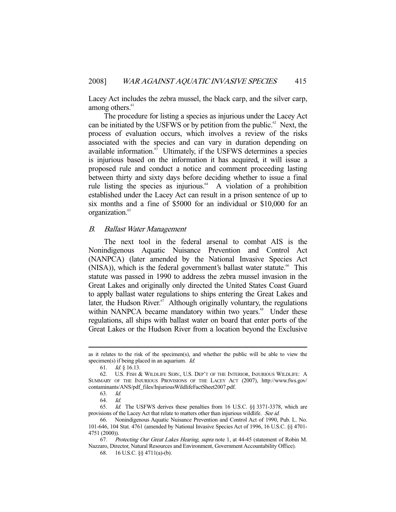Lacey Act includes the zebra mussel, the black carp, and the silver carp, among others.<sup>61</sup>

 The procedure for listing a species as injurious under the Lacey Act can be initiated by the USFWS or by petition from the public. $\mathscr{C}$  Next, the process of evaluation occurs, which involves a review of the risks associated with the species and can vary in duration depending on available information.<sup>63</sup> Ultimately, if the USFWS determines a species is injurious based on the information it has acquired, it will issue a proposed rule and conduct a notice and comment proceeding lasting between thirty and sixty days before deciding whether to issue a final rule listing the species as injurious. $^{64}$  A violation of a prohibition established under the Lacey Act can result in a prison sentence of up to six months and a fine of \$5000 for an individual or \$10,000 for an organization.<sup>65</sup>

#### B. Ballast Water Management

 The next tool in the federal arsenal to combat AIS is the Nonindigenous Aquatic Nuisance Prevention and Control Act (NANPCA) (later amended by the National Invasive Species Act (NISA)), which is the federal government's ballast water statute.<sup> $66$ </sup> This statute was passed in 1990 to address the zebra mussel invasion in the Great Lakes and originally only directed the United States Coast Guard to apply ballast water regulations to ships entering the Great Lakes and later, the Hudson River. $67$  Although originally voluntary, the regulations within NANPCA became mandatory within two years.<sup>68</sup> Under these regulations, all ships with ballast water on board that enter ports of the Great Lakes or the Hudson River from a location beyond the Exclusive

as it relates to the risk of the specimen(s), and whether the public will be able to view the specimen(s) if being placed in an aquarium. *Id.* 

 <sup>61.</sup> Id. § 16.13.

 <sup>62.</sup> U.S. FISH & WILDLIFE SERV., U.S. DEP'T OF THE INTERIOR, INJURIOUS WILDLIFE: A SUMMARY OF THE INJURIOUS PROVISIONS OF THE LACEY ACT (2007), http://www.fws.gov/ contaminants/ANS/pdf\_files/InjuriousWildlifeFactSheet2007.pdf.

 <sup>63.</sup> Id.

 <sup>64.</sup> Id.

 <sup>65.</sup> Id. The USFWS derives these penalties from 16 U.S.C. §§ 3371-3378, which are provisions of the Lacey Act that relate to matters other than injurious wildlife. See id.

 <sup>66.</sup> Nonindigenous Aquatic Nuisance Prevention and Control Act of 1990, Pub. L. No. 101-646, 104 Stat. 4761 (amended by National Invasive Species Act of 1996, 16 U.S.C. §§ 4701- 4751 (2000)).

<sup>67.</sup> Protecting Our Great Lakes Hearing, supra note 1, at 44-45 (statement of Robin M. Nazzaro, Director, Natural Resources and Environment, Government Accountability Office).

 <sup>68. 16</sup> U.S.C. §§ 4711(a)-(b).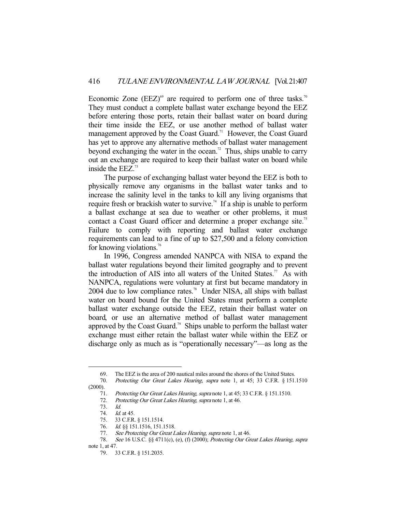Economic Zone  $(EEZ)$ <sup>69</sup> are required to perform one of three tasks.<sup>70</sup> They must conduct a complete ballast water exchange beyond the EEZ before entering those ports, retain their ballast water on board during their time inside the EEZ, or use another method of ballast water management approved by the Coast Guard.<sup>71</sup> However, the Coast Guard has yet to approve any alternative methods of ballast water management beyond exchanging the water in the ocean.<sup>72</sup> Thus, ships unable to carry out an exchange are required to keep their ballast water on board while inside the EEZ.<sup>73</sup>

 The purpose of exchanging ballast water beyond the EEZ is both to physically remove any organisms in the ballast water tanks and to increase the salinity level in the tanks to kill any living organisms that require fresh or brackish water to survive.<sup>74</sup> If a ship is unable to perform a ballast exchange at sea due to weather or other problems, it must contact a Coast Guard officer and determine a proper exchange site.<sup>75</sup> Failure to comply with reporting and ballast water exchange requirements can lead to a fine of up to \$27,500 and a felony conviction for knowing violations.<sup>76</sup>

 In 1996, Congress amended NANPCA with NISA to expand the ballast water regulations beyond their limited geography and to prevent the introduction of AIS into all waters of the United States.<sup>77</sup> As with NANPCA, regulations were voluntary at first but became mandatory in 2004 due to low compliance rates.<sup>78</sup> Under NISA, all ships with ballast water on board bound for the United States must perform a complete ballast water exchange outside the EEZ, retain their ballast water on board, or use an alternative method of ballast water management approved by the Coast Guard.<sup>79</sup> Ships unable to perform the ballast water exchange must either retain the ballast water while within the EEZ or discharge only as much as is "operationally necessary"—as long as the

 <sup>69.</sup> The EEZ is the area of 200 nautical miles around the shores of the United States.

 <sup>70.</sup> Protecting Our Great Lakes Hearing, supra note 1, at 45; 33 C.F.R. § 151.1510  $(2000)$ .

<sup>71.</sup> Protecting Our Great Lakes Hearing, supra note 1, at 45; 33 C.F.R. § 151.1510.

<sup>72.</sup> Protecting Our Great Lakes Hearing, supra note 1, at 46.

 <sup>73.</sup> Id.

 <sup>74.</sup> Id. at 45.

 <sup>75. 33</sup> C.F.R. § 151.1514.

 <sup>76.</sup> Id. §§ 151.1516, 151.1518.

<sup>77.</sup> See Protecting Our Great Lakes Hearing, supra note 1, at 46.

<sup>78.</sup> See 16 U.S.C. §§ 4711(c), (e), (f) (2000); Protecting Our Great Lakes Hearing, supra note 1, at 47.

 <sup>79. 33</sup> C.F.R. § 151.2035.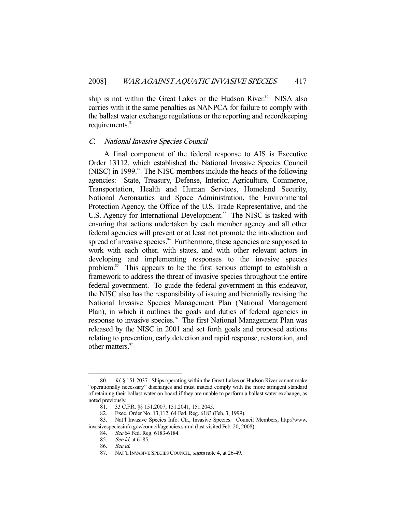ship is not within the Great Lakes or the Hudson River.<sup>80</sup> NISA also carries with it the same penalties as NANPCA for failure to comply with the ballast water exchange regulations or the reporting and recordkeeping requirements.<sup>81</sup>

#### C. National Invasive Species Council

 A final component of the federal response to AIS is Executive Order 13112, which established the National Invasive Species Council (NISC) in 1999. $82$  The NISC members include the heads of the following agencies: State, Treasury, Defense, Interior, Agriculture, Commerce, Transportation, Health and Human Services, Homeland Security, National Aeronautics and Space Administration, the Environmental Protection Agency, the Office of the U.S. Trade Representative, and the U.S. Agency for International Development.<sup>83</sup> The NISC is tasked with ensuring that actions undertaken by each member agency and all other federal agencies will prevent or at least not promote the introduction and spread of invasive species.<sup>84</sup> Furthermore, these agencies are supposed to work with each other, with states, and with other relevant actors in developing and implementing responses to the invasive species problem.<sup>85</sup> This appears to be the first serious attempt to establish a framework to address the threat of invasive species throughout the entire federal government. To guide the federal government in this endeavor, the NISC also has the responsibility of issuing and biennially revising the National Invasive Species Management Plan (National Management Plan), in which it outlines the goals and duties of federal agencies in response to invasive species.<sup>86</sup> The first National Management Plan was released by the NISC in 2001 and set forth goals and proposed actions relating to prevention, early detection and rapid response, restoration, and other matters.<sup>87</sup>

*Id.*  $§$  151.2037. Ships operating within the Great Lakes or Hudson River cannot make "operationally necessary" discharges and must instead comply with the more stringent standard of retaining their ballast water on board if they are unable to perform a ballast water exchange, as noted previously.

<sup>81. 33</sup> C.F.R. §§ 151.2007, 151.2041, 151.2045.<br>82. Exec. Order No. 13,112, 64 Fed. Reg. 6183 (

Exec. Order No. 13,112, 64 Fed. Reg. 6183 (Feb. 3, 1999).

 <sup>83.</sup> Nat'l Invasive Species Info. Ctr., Invasive Species: Council Members, http://www. invasivespeciesinfo.gov/council/agencies.shtml (last visited Feb. 20, 2008).

<sup>84.</sup> See 64 Fed. Reg. 6183-6184.<br>85. See id. at 6185.

See *id.* at 6185.

 <sup>86.</sup> See id.

<sup>87.</sup> NAT'L INVASIVE SPECIES COUNCIL, *supra* note 4, at 26-49.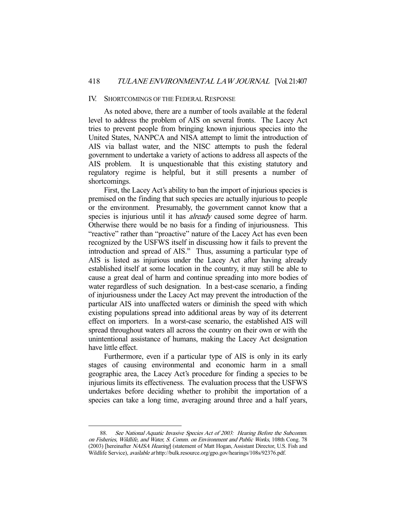#### IV. SHORTCOMINGS OF THE FEDERAL RESPONSE

 As noted above, there are a number of tools available at the federal level to address the problem of AIS on several fronts. The Lacey Act tries to prevent people from bringing known injurious species into the United States, NANPCA and NISA attempt to limit the introduction of AIS via ballast water, and the NISC attempts to push the federal government to undertake a variety of actions to address all aspects of the AIS problem. It is unquestionable that this existing statutory and regulatory regime is helpful, but it still presents a number of shortcomings.

 First, the Lacey Act's ability to ban the import of injurious species is premised on the finding that such species are actually injurious to people or the environment. Presumably, the government cannot know that a species is injurious until it has *already* caused some degree of harm. Otherwise there would be no basis for a finding of injuriousness. This "reactive" rather than "proactive" nature of the Lacey Act has even been recognized by the USFWS itself in discussing how it fails to prevent the introduction and spread of AIS.<sup>88</sup> Thus, assuming a particular type of AIS is listed as injurious under the Lacey Act after having already established itself at some location in the country, it may still be able to cause a great deal of harm and continue spreading into more bodies of water regardless of such designation. In a best-case scenario, a finding of injuriousness under the Lacey Act may prevent the introduction of the particular AIS into unaffected waters or diminish the speed with which existing populations spread into additional areas by way of its deterrent effect on importers. In a worst-case scenario, the established AIS will spread throughout waters all across the country on their own or with the unintentional assistance of humans, making the Lacey Act designation have little effect.

 Furthermore, even if a particular type of AIS is only in its early stages of causing environmental and economic harm in a small geographic area, the Lacey Act's procedure for finding a species to be injurious limits its effectiveness. The evaluation process that the USFWS undertakes before deciding whether to prohibit the importation of a species can take a long time, averaging around three and a half years,

 <sup>88.</sup> See National Aquatic Invasive Species Act of 2003: Hearing Before the Subcomm. on Fisheries, Wildlife, and Water, S. Comm. on Environment and Public Works, 108th Cong. 78 (2003) [hereinafter NAISA Hearing] (statement of Matt Hogan, Assistant Director, U.S. Fish and Wildlife Service), available at http://bulk.resource.org/gpo.gov/hearings/108s/92376.pdf.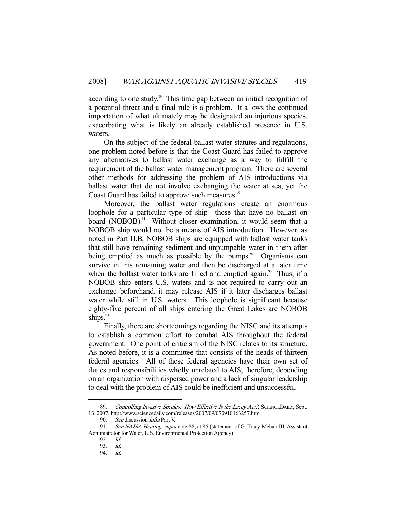according to one study.<sup>89</sup> This time gap between an initial recognition of a potential threat and a final rule is a problem. It allows the continued importation of what ultimately may be designated an injurious species, exacerbating what is likely an already established presence in U.S. waters.

 On the subject of the federal ballast water statutes and regulations, one problem noted before is that the Coast Guard has failed to approve any alternatives to ballast water exchange as a way to fulfill the requirement of the ballast water management program. There are several other methods for addressing the problem of AIS introductions via ballast water that do not involve exchanging the water at sea, yet the Coast Guard has failed to approve such measures.<sup>90</sup>

 Moreover, the ballast water regulations create an enormous loophole for a particular type of ship—those that have no ballast on board (NOBOB).<sup>91</sup> Without closer examination, it would seem that a NOBOB ship would not be a means of AIS introduction. However, as noted in Part II.B, NOBOB ships are equipped with ballast water tanks that still have remaining sediment and unpumpable water in them after being emptied as much as possible by the pumps. $\degree$  Organisms can survive in this remaining water and then be discharged at a later time when the ballast water tanks are filled and emptied again.<sup>93</sup> Thus, if a NOBOB ship enters U.S. waters and is not required to carry out an exchange beforehand, it may release AIS if it later discharges ballast water while still in U.S. waters. This loophole is significant because eighty-five percent of all ships entering the Great Lakes are NOBOB ships. $94$ 

 Finally, there are shortcomings regarding the NISC and its attempts to establish a common effort to combat AIS throughout the federal government. One point of criticism of the NISC relates to its structure. As noted before, it is a committee that consists of the heads of thirteen federal agencies. All of these federal agencies have their own set of duties and responsibilities wholly unrelated to AIS; therefore, depending on an organization with dispersed power and a lack of singular leadership to deal with the problem of AIS could be inefficient and unsuccessful.

<sup>89.</sup> Controlling Invasive Species: How Effective Is the Lacey Act?, SCIENCEDAILY, Sept. 13, 2007, http://www.sciencedaily.com/releases/2007/09/070910163257.htm.

<sup>90.</sup> See discussion *infra* Part V.

<sup>91.</sup> See NAISA Hearing, supra note 88, at 85 (statement of G. Tracy Mehan III, Assistant Administrator for Water, U.S. Environmental Protection Agency).

 <sup>92.</sup> Id.

 <sup>93.</sup> Id.

 <sup>94.</sup> Id.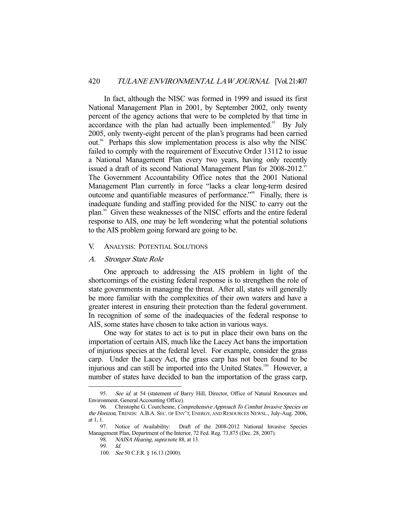In fact, although the NISC was formed in 1999 and issued its first National Management Plan in 2001, by September 2002, only twenty percent of the agency actions that were to be completed by that time in accordance with the plan had actually been implemented.<sup>95</sup> By July 2005, only twenty-eight percent of the plan's programs had been carried out.<sup>96</sup> Perhaps this slow implementation process is also why the NISC failed to comply with the requirement of Executive Order 13112 to issue a National Management Plan every two years, having only recently issued a draft of its second National Management Plan for 2008-2012.<sup>97</sup> The Government Accountability Office notes that the 2001 National Management Plan currently in force "lacks a clear long-term desired outcome and quantifiable measures of performance."98 Finally, there is inadequate funding and staffing provided for the NISC to carry out the plan.99 Given these weaknesses of the NISC efforts and the entire federal response to AIS, one may be left wondering what the potential solutions to the AIS problem going forward are going to be.

#### V. ANALYSIS: POTENTIAL SOLUTIONS

#### A. Stronger State Role

 One approach to addressing the AIS problem in light of the shortcomings of the existing federal response is to strengthen the role of state governments in managing the threat. After all, states will generally be more familiar with the complexities of their own waters and have a greater interest in ensuring their protection than the federal government. In recognition of some of the inadequacies of the federal response to AIS, some states have chosen to take action in various ways.

 One way for states to act is to put in place their own bans on the importation of certain AIS, much like the Lacey Act bans the importation of injurious species at the federal level. For example, consider the grass carp. Under the Lacey Act, the grass carp has not been found to be injurious and can still be imported into the United States.<sup>100</sup> However, a number of states have decided to ban the importation of the grass carp,

<sup>95.</sup> See id. at 54 (statement of Barry Hill, Director, Office of Natural Resources and Environment, General Accounting Office).

<sup>96.</sup> Christophe G. Courchesne, Comprehensive Approach To Combat Invasive Species on the Horizon, TRENDS: A.B.A. SEC. OF ENV'T, ENERGY, AND RESOURCES NEWSL., July-Aug. 2006, at 1, 1.

 <sup>97.</sup> Notice of Availability: Draft of the 2008-2012 National Invasive Species Management Plan, Department of the Interior, 72 Fed. Reg. 73,875 (Dec. 28, 2007).

<sup>98.</sup> NAISA Hearing, supra note 88, at 13.

 <sup>99.</sup> Id.

<sup>100.</sup> See 50 C.F.R. § 16.13 (2000).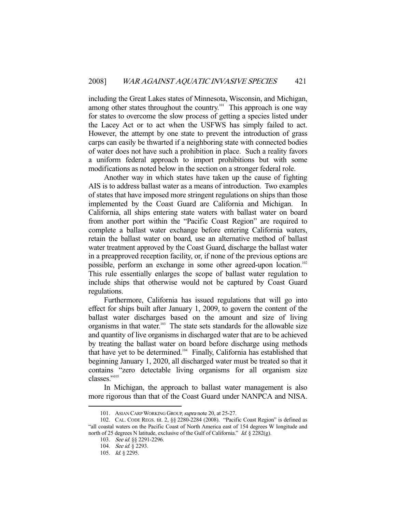including the Great Lakes states of Minnesota, Wisconsin, and Michigan, among other states throughout the country.<sup>101</sup> This approach is one way for states to overcome the slow process of getting a species listed under the Lacey Act or to act when the USFWS has simply failed to act. However, the attempt by one state to prevent the introduction of grass carps can easily be thwarted if a neighboring state with connected bodies of water does not have such a prohibition in place. Such a reality favors a uniform federal approach to import prohibitions but with some modifications as noted below in the section on a stronger federal role.

 Another way in which states have taken up the cause of fighting AIS is to address ballast water as a means of introduction. Two examples of states that have imposed more stringent regulations on ships than those implemented by the Coast Guard are California and Michigan. California, all ships entering state waters with ballast water on board from another port within the "Pacific Coast Region" are required to complete a ballast water exchange before entering California waters, retain the ballast water on board, use an alternative method of ballast water treatment approved by the Coast Guard, discharge the ballast water in a preapproved reception facility, or, if none of the previous options are possible, perform an exchange in some other agreed-upon location.<sup>102</sup> This rule essentially enlarges the scope of ballast water regulation to include ships that otherwise would not be captured by Coast Guard regulations.

 Furthermore, California has issued regulations that will go into effect for ships built after January 1, 2009, to govern the content of the ballast water discharges based on the amount and size of living organisms in that water. $103$  The state sets standards for the allowable size and quantity of live organisms in discharged water that are to be achieved by treating the ballast water on board before discharge using methods that have yet to be determined.104 Finally, California has established that beginning January 1, 2020, all discharged water must be treated so that it contains "zero detectable living organisms for all organism size classes."105

 In Michigan, the approach to ballast water management is also more rigorous than that of the Coast Guard under NANPCA and NISA.

<sup>101.</sup> ASIAN CARP WORKING GROUP, supra note 20, at 25-27.

 <sup>102.</sup> CAL. CODE REGS. tit. 2, §§ 2280-2284 (2008). "Pacific Coast Region" is defined as "all coastal waters on the Pacific Coast of North America east of 154 degrees W longitude and north of 25 degrees N latitude, exclusive of the Gulf of California." Id. § 2282(g).

<sup>103.</sup> See id. §§ 2291-2296.

<sup>104.</sup> See id. § 2293.

 <sup>105.</sup> Id. § 2295.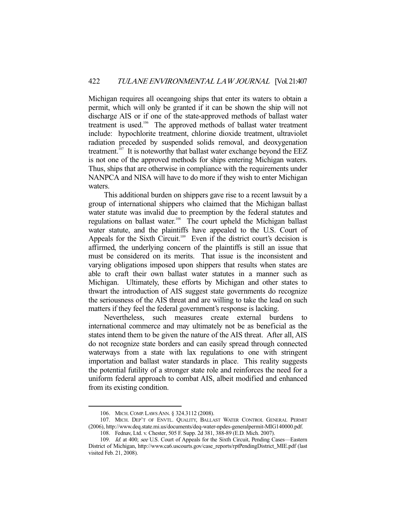Michigan requires all oceangoing ships that enter its waters to obtain a permit, which will only be granted if it can be shown the ship will not discharge AIS or if one of the state-approved methods of ballast water treatment is used.<sup>106</sup> The approved methods of ballast water treatment include: hypochlorite treatment, chlorine dioxide treatment, ultraviolet radiation preceded by suspended solids removal, and deoxygenation treatment.<sup>107</sup> It is noteworthy that ballast water exchange beyond the EEZ is not one of the approved methods for ships entering Michigan waters. Thus, ships that are otherwise in compliance with the requirements under NANPCA and NISA will have to do more if they wish to enter Michigan waters.

 This additional burden on shippers gave rise to a recent lawsuit by a group of international shippers who claimed that the Michigan ballast water statute was invalid due to preemption by the federal statutes and regulations on ballast water.<sup>108</sup> The court upheld the Michigan ballast water statute, and the plaintiffs have appealed to the U.S. Court of Appeals for the Sixth Circuit.<sup>109</sup> Even if the district court's decision is affirmed, the underlying concern of the plaintiffs is still an issue that must be considered on its merits. That issue is the inconsistent and varying obligations imposed upon shippers that results when states are able to craft their own ballast water statutes in a manner such as Michigan. Ultimately, these efforts by Michigan and other states to thwart the introduction of AIS suggest state governments do recognize the seriousness of the AIS threat and are willing to take the lead on such matters if they feel the federal government's response is lacking.

 Nevertheless, such measures create external burdens to international commerce and may ultimately not be as beneficial as the states intend them to be given the nature of the AIS threat. After all, AIS do not recognize state borders and can easily spread through connected waterways from a state with lax regulations to one with stringent importation and ballast water standards in place. This reality suggests the potential futility of a stronger state role and reinforces the need for a uniform federal approach to combat AIS, albeit modified and enhanced from its existing condition.

 <sup>106.</sup> MICH.COMP. LAWS ANN. § 324.3112 (2008).

 <sup>107.</sup> MICH. DEP'T OF ENVTL. QUALITY, BALLAST WATER CONTROL GENERAL PERMIT (2006), http://www.deq.state.mi.us/documents/deq-water-npdes-generalpermit-MIG140000.pdf. 108. Fednav, Ltd. v. Chester, 505 F. Supp. 2d 381, 388-89 (E.D. Mich. 2007).

<sup>109.</sup> Id. at 400; see U.S. Court of Appeals for the Sixth Circuit, Pending Cases-Eastern District of Michigan, http://www.ca6.uscourts.gov/case\_reports/rptPendingDistrict\_MIE.pdf (last visited Feb. 21, 2008).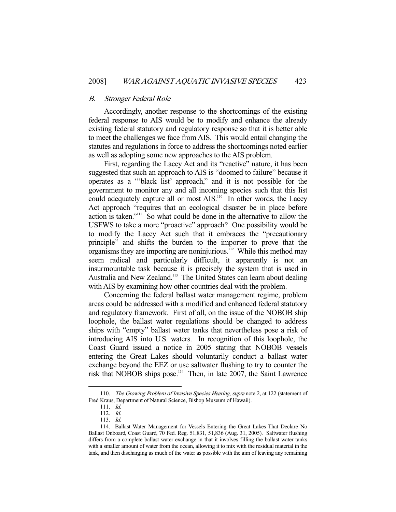#### B. Stronger Federal Role

 Accordingly, another response to the shortcomings of the existing federal response to AIS would be to modify and enhance the already existing federal statutory and regulatory response so that it is better able to meet the challenges we face from AIS. This would entail changing the statutes and regulations in force to address the shortcomings noted earlier as well as adopting some new approaches to the AIS problem.

 First, regarding the Lacey Act and its "reactive" nature, it has been suggested that such an approach to AIS is "doomed to failure" because it operates as a "'black list' approach," and it is not possible for the government to monitor any and all incoming species such that this list could adequately capture all or most AIS.<sup>110</sup> In other words, the Lacey Act approach "requires that an ecological disaster be in place before action is taken."111 So what could be done in the alternative to allow the USFWS to take a more "proactive" approach? One possibility would be to modify the Lacey Act such that it embraces the "precautionary principle" and shifts the burden to the importer to prove that the organisms they are importing are noninjurious.<sup>112</sup> While this method may seem radical and particularly difficult, it apparently is not an insurmountable task because it is precisely the system that is used in Australia and New Zealand.113 The United States can learn about dealing with AIS by examining how other countries deal with the problem.

 Concerning the federal ballast water management regime, problem areas could be addressed with a modified and enhanced federal statutory and regulatory framework. First of all, on the issue of the NOBOB ship loophole, the ballast water regulations should be changed to address ships with "empty" ballast water tanks that nevertheless pose a risk of introducing AIS into U.S. waters. In recognition of this loophole, the Coast Guard issued a notice in 2005 stating that NOBOB vessels entering the Great Lakes should voluntarily conduct a ballast water exchange beyond the EEZ or use saltwater flushing to try to counter the risk that NOBOB ships pose.114 Then, in late 2007, the Saint Lawrence

<sup>110.</sup> The Growing Problem of Invasive Species Hearing, supra note 2, at 122 (statement of Fred Kraus, Department of Natural Science, Bishop Museum of Hawaii).

 <sup>111.</sup> Id.

 <sup>112.</sup> Id.

 <sup>113.</sup> Id.

 <sup>114.</sup> Ballast Water Management for Vessels Entering the Great Lakes That Declare No Ballast Onboard, Coast Guard, 70 Fed. Reg. 51,831, 51,836 (Aug. 31, 2005). Saltwater flushing differs from a complete ballast water exchange in that it involves filling the ballast water tanks with a smaller amount of water from the ocean, allowing it to mix with the residual material in the tank, and then discharging as much of the water as possible with the aim of leaving any remaining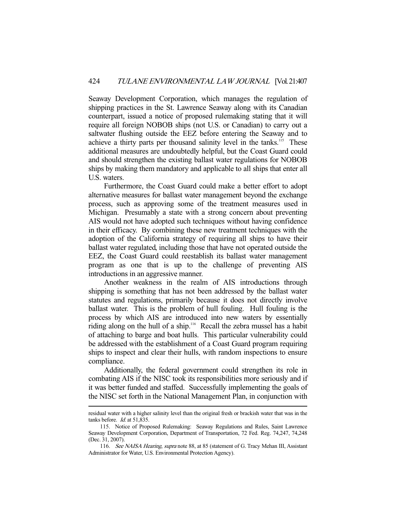Seaway Development Corporation, which manages the regulation of shipping practices in the St. Lawrence Seaway along with its Canadian counterpart, issued a notice of proposed rulemaking stating that it will require all foreign NOBOB ships (not U.S. or Canadian) to carry out a saltwater flushing outside the EEZ before entering the Seaway and to achieve a thirty parts per thousand salinity level in the tanks.<sup>115</sup> These additional measures are undoubtedly helpful, but the Coast Guard could and should strengthen the existing ballast water regulations for NOBOB ships by making them mandatory and applicable to all ships that enter all U.S. waters.

 Furthermore, the Coast Guard could make a better effort to adopt alternative measures for ballast water management beyond the exchange process, such as approving some of the treatment measures used in Michigan. Presumably a state with a strong concern about preventing AIS would not have adopted such techniques without having confidence in their efficacy. By combining these new treatment techniques with the adoption of the California strategy of requiring all ships to have their ballast water regulated, including those that have not operated outside the EEZ, the Coast Guard could reestablish its ballast water management program as one that is up to the challenge of preventing AIS introductions in an aggressive manner.

 Another weakness in the realm of AIS introductions through shipping is something that has not been addressed by the ballast water statutes and regulations, primarily because it does not directly involve ballast water. This is the problem of hull fouling. Hull fouling is the process by which AIS are introduced into new waters by essentially riding along on the hull of a ship.<sup>116</sup> Recall the zebra mussel has a habit of attaching to barge and boat hulls. This particular vulnerability could be addressed with the establishment of a Coast Guard program requiring ships to inspect and clear their hulls, with random inspections to ensure compliance.

 Additionally, the federal government could strengthen its role in combating AIS if the NISC took its responsibilities more seriously and if it was better funded and staffed. Successfully implementing the goals of the NISC set forth in the National Management Plan, in conjunction with

residual water with a higher salinity level than the original fresh or brackish water that was in the tanks before. *Id.* at 51,835.

 <sup>115.</sup> Notice of Proposed Rulemaking: Seaway Regulations and Rules, Saint Lawrence Seaway Development Corporation, Department of Transportation, 72 Fed. Reg. 74,247, 74,248 (Dec. 31, 2007).

<sup>116.</sup> See NAISA Hearing, supra note 88, at 85 (statement of G. Tracy Mehan III, Assistant Administrator for Water, U.S. Environmental Protection Agency).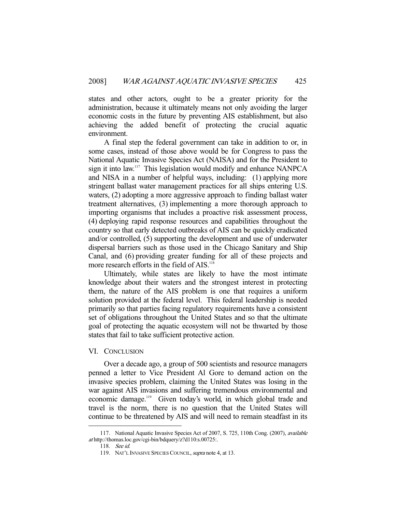states and other actors, ought to be a greater priority for the administration, because it ultimately means not only avoiding the larger economic costs in the future by preventing AIS establishment, but also achieving the added benefit of protecting the crucial aquatic environment.

 A final step the federal government can take in addition to or, in some cases, instead of those above would be for Congress to pass the National Aquatic Invasive Species Act (NAISA) and for the President to sign it into law.<sup>117</sup> This legislation would modify and enhance NANPCA and NISA in a number of helpful ways, including: (1) applying more stringent ballast water management practices for all ships entering U.S. waters, (2) adopting a more aggressive approach to finding ballast water treatment alternatives, (3) implementing a more thorough approach to importing organisms that includes a proactive risk assessment process, (4) deploying rapid response resources and capabilities throughout the country so that early detected outbreaks of AIS can be quickly eradicated and/or controlled, (5) supporting the development and use of underwater dispersal barriers such as those used in the Chicago Sanitary and Ship Canal, and (6) providing greater funding for all of these projects and more research efforts in the field of AIS.<sup>118</sup>

 Ultimately, while states are likely to have the most intimate knowledge about their waters and the strongest interest in protecting them, the nature of the AIS problem is one that requires a uniform solution provided at the federal level. This federal leadership is needed primarily so that parties facing regulatory requirements have a consistent set of obligations throughout the United States and so that the ultimate goal of protecting the aquatic ecosystem will not be thwarted by those states that fail to take sufficient protective action.

#### VI. CONCLUSION

 Over a decade ago, a group of 500 scientists and resource managers penned a letter to Vice President Al Gore to demand action on the invasive species problem, claiming the United States was losing in the war against AIS invasions and suffering tremendous environmental and economic damage.<sup>119</sup> Given today's world, in which global trade and travel is the norm, there is no question that the United States will continue to be threatened by AIS and will need to remain steadfast in its

 <sup>117.</sup> National Aquatic Invasive Species Act of 2007, S. 725, 110th Cong. (2007), available at http://thomas.loc.gov/cgi-bin/bdquery/z?d110:s.00725:.

 <sup>118.</sup> See id.

<sup>119.</sup> NAT'L INVASIVE SPECIES COUNCIL, supra note 4, at 13.